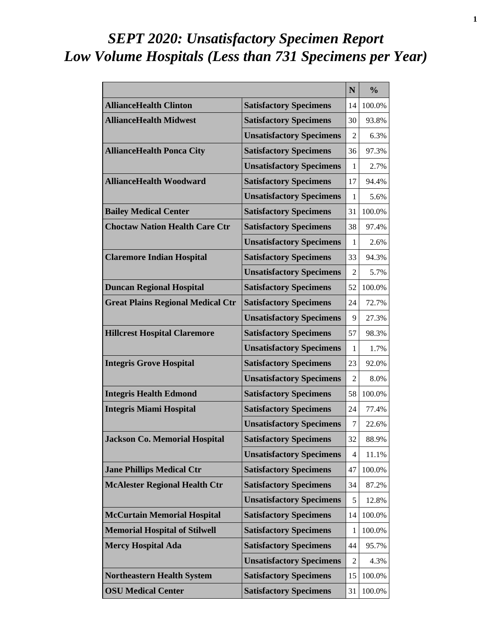# *SEPT 2020: Unsatisfactory Specimen Report Low Volume Hospitals (Less than 731 Specimens per Year)*

|                                          |                                 | N              | $\frac{0}{0}$ |
|------------------------------------------|---------------------------------|----------------|---------------|
| <b>AllianceHealth Clinton</b>            | <b>Satisfactory Specimens</b>   | 14             | 100.0%        |
| <b>AllianceHealth Midwest</b>            | <b>Satisfactory Specimens</b>   | 30             | 93.8%         |
|                                          | <b>Unsatisfactory Specimens</b> | 2              | 6.3%          |
| <b>AllianceHealth Ponca City</b>         | <b>Satisfactory Specimens</b>   | 36             | 97.3%         |
|                                          | <b>Unsatisfactory Specimens</b> | 1              | 2.7%          |
| <b>AllianceHealth Woodward</b>           | <b>Satisfactory Specimens</b>   | 17             | 94.4%         |
|                                          | <b>Unsatisfactory Specimens</b> | 1              | 5.6%          |
| <b>Bailey Medical Center</b>             | <b>Satisfactory Specimens</b>   | 31             | 100.0%        |
| <b>Choctaw Nation Health Care Ctr</b>    | <b>Satisfactory Specimens</b>   | 38             | 97.4%         |
|                                          | <b>Unsatisfactory Specimens</b> | 1              | 2.6%          |
| <b>Claremore Indian Hospital</b>         | <b>Satisfactory Specimens</b>   | 33             | 94.3%         |
|                                          | <b>Unsatisfactory Specimens</b> | 2              | 5.7%          |
| <b>Duncan Regional Hospital</b>          | <b>Satisfactory Specimens</b>   | 52             | 100.0%        |
| <b>Great Plains Regional Medical Ctr</b> | <b>Satisfactory Specimens</b>   | 24             | 72.7%         |
|                                          | <b>Unsatisfactory Specimens</b> | 9              | 27.3%         |
| <b>Hillcrest Hospital Claremore</b>      | <b>Satisfactory Specimens</b>   | 57             | 98.3%         |
|                                          | <b>Unsatisfactory Specimens</b> | 1              | 1.7%          |
| <b>Integris Grove Hospital</b>           | <b>Satisfactory Specimens</b>   | 23             | 92.0%         |
|                                          | <b>Unsatisfactory Specimens</b> | 2              | 8.0%          |
| <b>Integris Health Edmond</b>            | <b>Satisfactory Specimens</b>   | 58             | 100.0%        |
| <b>Integris Miami Hospital</b>           | <b>Satisfactory Specimens</b>   | 24             | 77.4%         |
|                                          | <b>Unsatisfactory Specimens</b> | 7              | 22.6%         |
| <b>Jackson Co. Memorial Hospital</b>     | <b>Satisfactory Specimens</b>   | 32             | 88.9%         |
|                                          | <b>Unsatisfactory Specimens</b> | 4              | 11.1%         |
| <b>Jane Phillips Medical Ctr</b>         | <b>Satisfactory Specimens</b>   | 47             | 100.0%        |
| <b>McAlester Regional Health Ctr</b>     | <b>Satisfactory Specimens</b>   | 34             | 87.2%         |
|                                          | <b>Unsatisfactory Specimens</b> | 5              | 12.8%         |
| <b>McCurtain Memorial Hospital</b>       | <b>Satisfactory Specimens</b>   | 14             | 100.0%        |
| <b>Memorial Hospital of Stilwell</b>     | <b>Satisfactory Specimens</b>   | 1              | 100.0%        |
| <b>Mercy Hospital Ada</b>                | <b>Satisfactory Specimens</b>   | 44             | 95.7%         |
|                                          | <b>Unsatisfactory Specimens</b> | $\overline{2}$ | 4.3%          |
| <b>Northeastern Health System</b>        | <b>Satisfactory Specimens</b>   | 15             | 100.0%        |
| <b>OSU Medical Center</b>                | <b>Satisfactory Specimens</b>   | 31             | 100.0%        |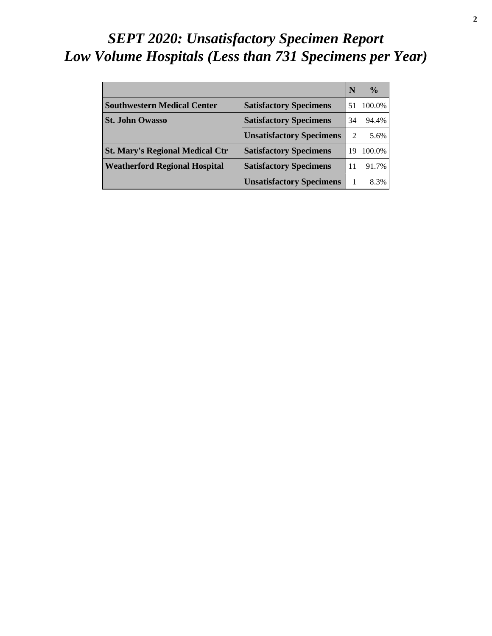# *SEPT 2020: Unsatisfactory Specimen Report Low Volume Hospitals (Less than 731 Specimens per Year)*

|                                        |                                 | N  | $\frac{0}{0}$ |
|----------------------------------------|---------------------------------|----|---------------|
| <b>Southwestern Medical Center</b>     | <b>Satisfactory Specimens</b>   | 51 | 100.0%        |
| <b>St. John Owasso</b>                 | <b>Satisfactory Specimens</b>   | 34 | 94.4%         |
|                                        | <b>Unsatisfactory Specimens</b> | 2  | 5.6%          |
| <b>St. Mary's Regional Medical Ctr</b> | <b>Satisfactory Specimens</b>   | 19 | 100.0%        |
| <b>Weatherford Regional Hospital</b>   | <b>Satisfactory Specimens</b>   | 11 | 91.7%         |
|                                        | <b>Unsatisfactory Specimens</b> |    | 8.3%          |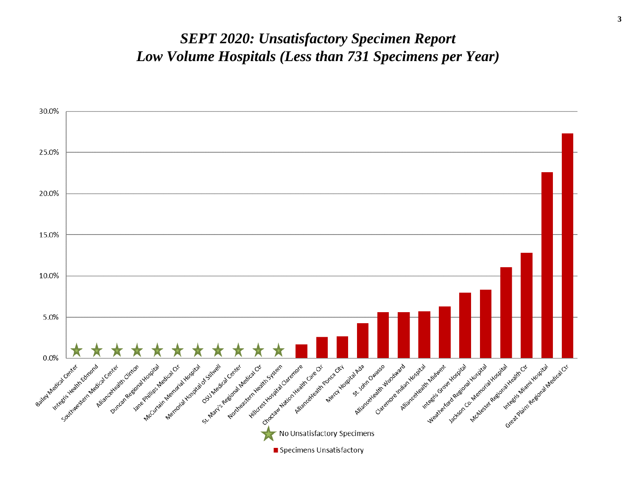#### *SEPT 2020: Unsatisfactory Specimen Report Low Volume Hospitals (Less than 731 Specimens per Year)*

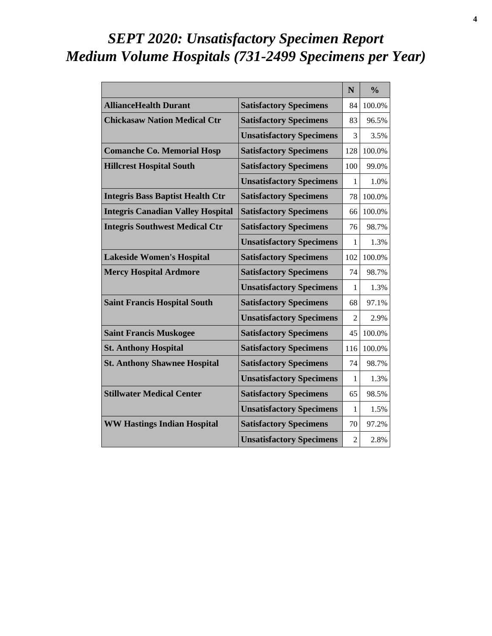# *SEPT 2020: Unsatisfactory Specimen Report Medium Volume Hospitals (731-2499 Specimens per Year)*

|                                          |                                 | N              | $\frac{0}{0}$ |
|------------------------------------------|---------------------------------|----------------|---------------|
| <b>AllianceHealth Durant</b>             | <b>Satisfactory Specimens</b>   | 84             | 100.0%        |
| <b>Chickasaw Nation Medical Ctr</b>      | <b>Satisfactory Specimens</b>   | 83             | 96.5%         |
|                                          | <b>Unsatisfactory Specimens</b> | 3              | 3.5%          |
| <b>Comanche Co. Memorial Hosp</b>        | <b>Satisfactory Specimens</b>   | 128            | 100.0%        |
| <b>Hillcrest Hospital South</b>          | <b>Satisfactory Specimens</b>   | 100            | 99.0%         |
|                                          | <b>Unsatisfactory Specimens</b> | 1              | 1.0%          |
| <b>Integris Bass Baptist Health Ctr</b>  | <b>Satisfactory Specimens</b>   | 78             | 100.0%        |
| <b>Integris Canadian Valley Hospital</b> | <b>Satisfactory Specimens</b>   | 66             | 100.0%        |
| <b>Integris Southwest Medical Ctr</b>    | <b>Satisfactory Specimens</b>   | 76             | 98.7%         |
|                                          | <b>Unsatisfactory Specimens</b> | 1              | 1.3%          |
| <b>Lakeside Women's Hospital</b>         | <b>Satisfactory Specimens</b>   | 102            | 100.0%        |
| <b>Mercy Hospital Ardmore</b>            | <b>Satisfactory Specimens</b>   | 74             | 98.7%         |
|                                          | <b>Unsatisfactory Specimens</b> | 1              | 1.3%          |
| <b>Saint Francis Hospital South</b>      | <b>Satisfactory Specimens</b>   | 68             | 97.1%         |
|                                          | <b>Unsatisfactory Specimens</b> | $\overline{c}$ | 2.9%          |
| <b>Saint Francis Muskogee</b>            | <b>Satisfactory Specimens</b>   | 45             | 100.0%        |
| <b>St. Anthony Hospital</b>              | <b>Satisfactory Specimens</b>   | 116            | 100.0%        |
| <b>St. Anthony Shawnee Hospital</b>      | <b>Satisfactory Specimens</b>   | 74             | 98.7%         |
|                                          | <b>Unsatisfactory Specimens</b> | 1              | 1.3%          |
| <b>Stillwater Medical Center</b>         | <b>Satisfactory Specimens</b>   | 65             | 98.5%         |
|                                          | <b>Unsatisfactory Specimens</b> | 1              | 1.5%          |
| <b>WW Hastings Indian Hospital</b>       | <b>Satisfactory Specimens</b>   | 70             | 97.2%         |
|                                          | <b>Unsatisfactory Specimens</b> | $\overline{2}$ | 2.8%          |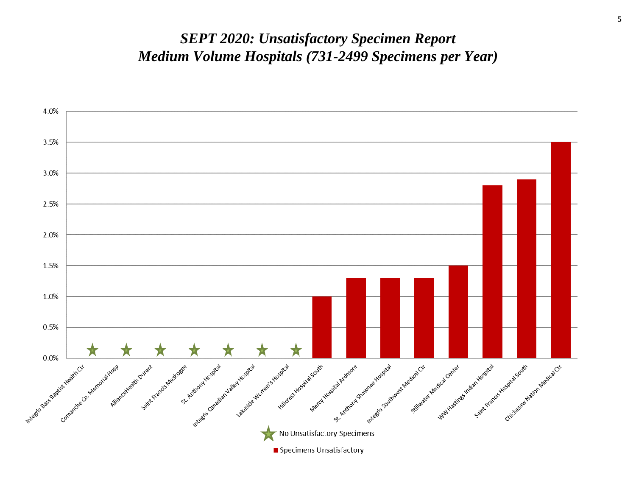#### *SEPT 2020: Unsatisfactory Specimen Report Medium Volume Hospitals (731-2499 Specimens per Year)*

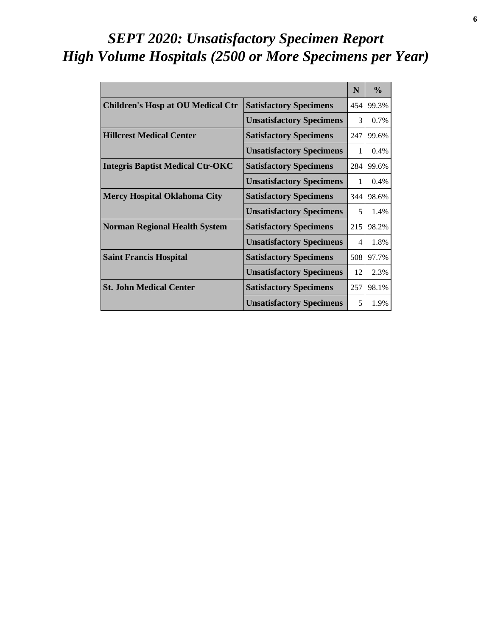# *SEPT 2020: Unsatisfactory Specimen Report High Volume Hospitals (2500 or More Specimens per Year)*

|                                          |                                 | N   | $\frac{0}{0}$ |
|------------------------------------------|---------------------------------|-----|---------------|
| <b>Children's Hosp at OU Medical Ctr</b> | <b>Satisfactory Specimens</b>   | 454 | 99.3%         |
|                                          | <b>Unsatisfactory Specimens</b> | 3   | 0.7%          |
| <b>Hillcrest Medical Center</b>          | <b>Satisfactory Specimens</b>   | 247 | 99.6%         |
|                                          | <b>Unsatisfactory Specimens</b> | 1   | 0.4%          |
| <b>Integris Baptist Medical Ctr-OKC</b>  | <b>Satisfactory Specimens</b>   | 284 | 99.6%         |
|                                          | <b>Unsatisfactory Specimens</b> | 1   | $0.4\%$       |
| <b>Mercy Hospital Oklahoma City</b>      | <b>Satisfactory Specimens</b>   | 344 | 98.6%         |
|                                          | <b>Unsatisfactory Specimens</b> | 5   | 1.4%          |
| <b>Norman Regional Health System</b>     | <b>Satisfactory Specimens</b>   | 215 | 98.2%         |
|                                          | <b>Unsatisfactory Specimens</b> | 4   | 1.8%          |
| <b>Saint Francis Hospital</b>            | <b>Satisfactory Specimens</b>   | 508 | 97.7%         |
|                                          | <b>Unsatisfactory Specimens</b> | 12  | 2.3%          |
| <b>St. John Medical Center</b>           | <b>Satisfactory Specimens</b>   | 257 | 98.1%         |
|                                          | <b>Unsatisfactory Specimens</b> | 5   | 1.9%          |